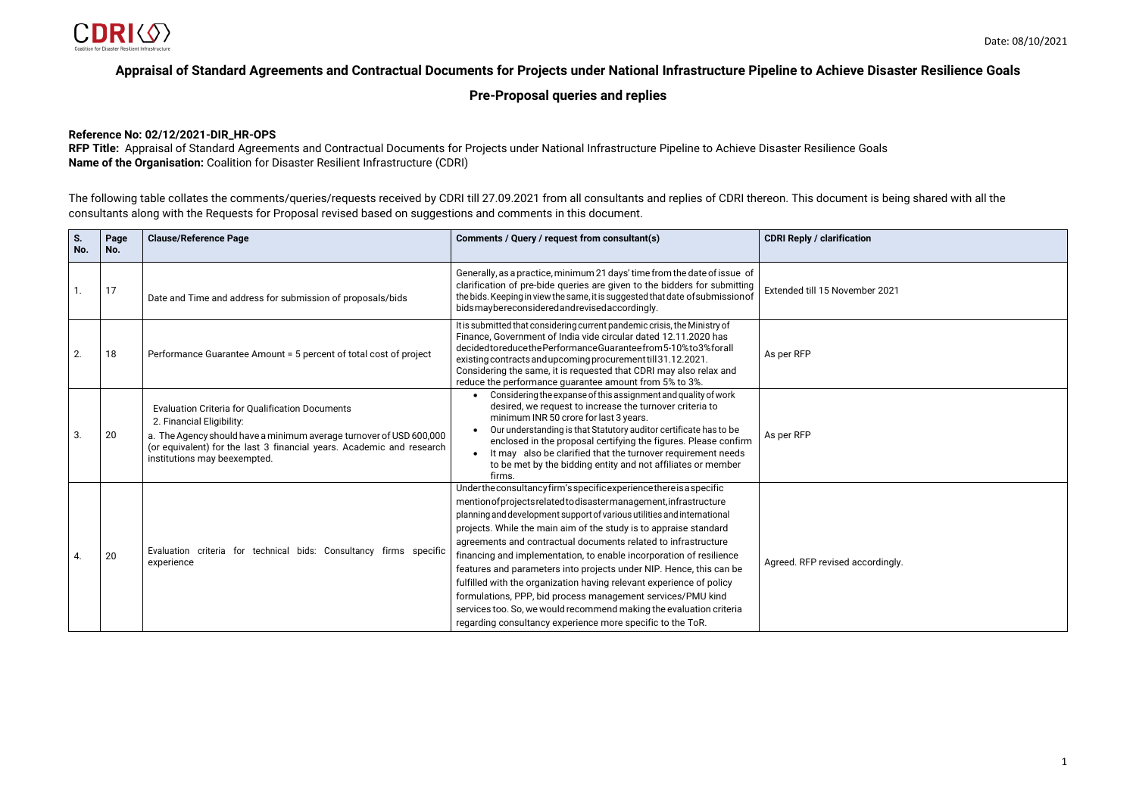| ion         |
|-------------|
| าber 2021   |
|             |
|             |
|             |
|             |
| ccordingly. |
|             |



# **Appraisal of Standard Agreements and Contractual Documents for Projects under National Infrastructure Pipeline to Achieve Disaster Resilience Goals**

# **Pre-Proposal queries and replies**

## **Reference No: 02/12/2021-DIR\_HR-OPS**

**RFP Title:** Appraisal of Standard Agreements and Contractual Documents for Projects under National Infrastructure Pipeline to Achieve Disaster Resilience Goals **Name of the Organisation:** Coalition for Disaster Resilient Infrastructure (CDRI)

The following table collates the comments/queries/requests received by CDRI till 27.09.2021 from all consultants and replies of CDRI thereon. This document is being shared with all the consultants along with the Requests for Proposal revised based on suggestions and comments in this document.

| S.<br>No. | Page<br>No. | <b>Clause/Reference Page</b>                                                                                                                                                                                                                                        | Comments / Query / request from consultant(s)                                                                                                                                                                                                                                                                                                                                                                                                                                                                                                                                                                                                                                                                                                                                         | <b>CDRI Reply / clarification</b> |
|-----------|-------------|---------------------------------------------------------------------------------------------------------------------------------------------------------------------------------------------------------------------------------------------------------------------|---------------------------------------------------------------------------------------------------------------------------------------------------------------------------------------------------------------------------------------------------------------------------------------------------------------------------------------------------------------------------------------------------------------------------------------------------------------------------------------------------------------------------------------------------------------------------------------------------------------------------------------------------------------------------------------------------------------------------------------------------------------------------------------|-----------------------------------|
| 1.        | 17          | Date and Time and address for submission of proposals/bids                                                                                                                                                                                                          | Generally, as a practice, minimum 21 days' time from the date of issue of<br>clarification of pre-bide queries are given to the bidders for submitting<br>the bids. Keeping in view the same, it is suggested that date of submission of<br>bidsmaybereconsideredandrevisedaccordingly.                                                                                                                                                                                                                                                                                                                                                                                                                                                                                               | Extended till 15 November 2021    |
| 2.        | 18          | Performance Guarantee Amount = 5 percent of total cost of project                                                                                                                                                                                                   | It is submitted that considering current pandemic crisis, the Ministry of<br>Finance, Government of India vide circular dated 12.11.2020 has<br>decided to reduce the Performance Guarantee from 5-10% to 3% for all<br>existing contracts and upcoming procurement till 31.12.2021.<br>Considering the same, it is requested that CDRI may also relax and<br>reduce the performance guarantee amount from 5% to 3%.                                                                                                                                                                                                                                                                                                                                                                  | As per RFP                        |
| 3.        | 20          | <b>Evaluation Criteria for Qualification Documents</b><br>2. Financial Eligibility:<br>a. The Agency should have a minimum average turnover of USD 600,000<br>(or equivalent) for the last 3 financial years. Academic and research<br>institutions may beexempted. | Considering the expanse of this assignment and quality of work<br>$\bullet$<br>desired, we request to increase the turnover criteria to<br>minimum INR 50 crore for last 3 years.<br>Our understanding is that Statutory auditor certificate has to be<br>enclosed in the proposal certifying the figures. Please confirm<br>It may also be clarified that the turnover requirement needs<br>$\bullet$<br>to be met by the bidding entity and not affiliates or member<br>firms.                                                                                                                                                                                                                                                                                                      | As per RFP                        |
| 4.        | 20          | Evaluation criteria for technical bids: Consultancy firms specific<br>experience                                                                                                                                                                                    | Underthe consultancy firm's specific experience there is a specific<br>mention of projects related to disaster management, infrastructure<br>planning and development support of various utilities and international<br>projects. While the main aim of the study is to appraise standard<br>agreements and contractual documents related to infrastructure<br>financing and implementation, to enable incorporation of resilience<br>features and parameters into projects under NIP. Hence, this can be<br>fulfilled with the organization having relevant experience of policy<br>formulations, PPP, bid process management services/PMU kind<br>services too. So, we would recommend making the evaluation criteria<br>regarding consultancy experience more specific to the ToR. | Agreed. RFP revised accordingly.  |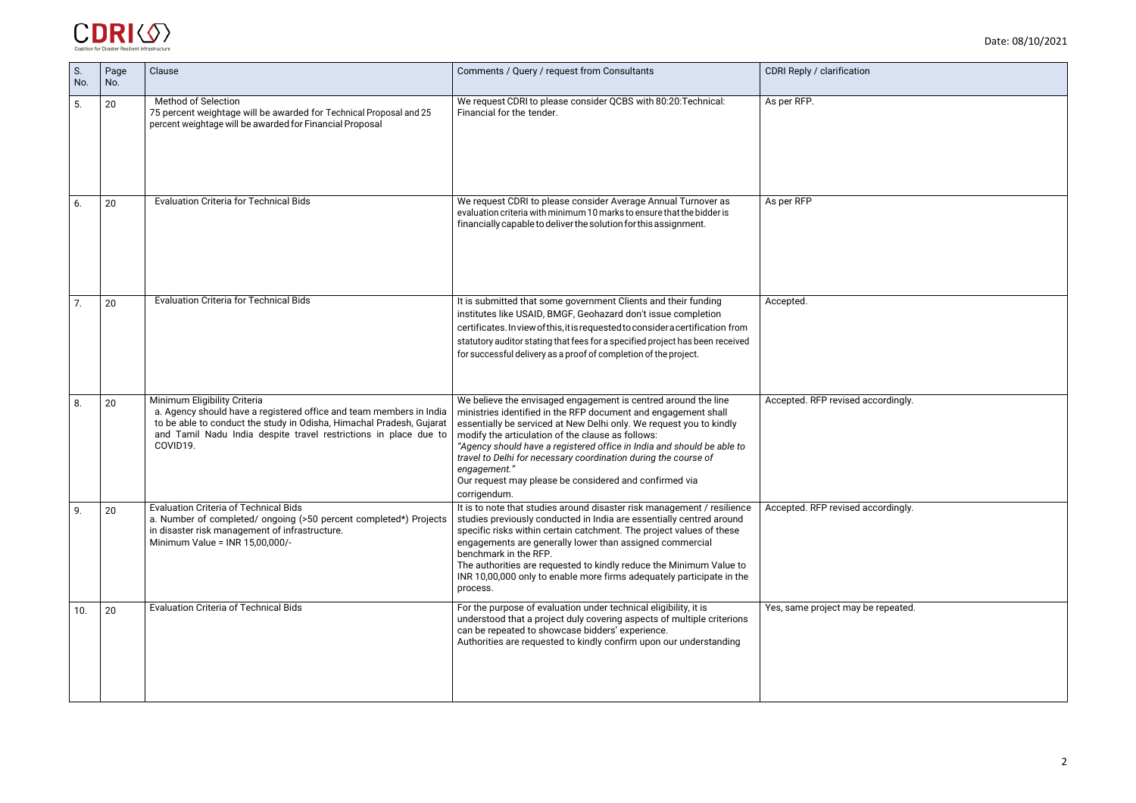| ation           |
|-----------------|
|                 |
|                 |
|                 |
|                 |
|                 |
|                 |
|                 |
|                 |
|                 |
| ed accordingly. |
|                 |
|                 |
| ed accordingly. |
|                 |
|                 |
| ay be repeated. |
|                 |
|                 |
|                 |



| S.<br>No. | Page<br>No. | Clause                                                                                                                                                                                                                                                      | Comments / Query / request from Consultants                                                                                                                                                                                                                                                                                                                                                                                                                                                         | <b>CDRI Reply / clarification</b>  |
|-----------|-------------|-------------------------------------------------------------------------------------------------------------------------------------------------------------------------------------------------------------------------------------------------------------|-----------------------------------------------------------------------------------------------------------------------------------------------------------------------------------------------------------------------------------------------------------------------------------------------------------------------------------------------------------------------------------------------------------------------------------------------------------------------------------------------------|------------------------------------|
| 5.        | 20          | <b>Method of Selection</b><br>75 percent weightage will be awarded for Technical Proposal and 25<br>percent weightage will be awarded for Financial Proposal                                                                                                | We request CDRI to please consider QCBS with 80:20: Technical:<br>Financial for the tender.                                                                                                                                                                                                                                                                                                                                                                                                         | As per RFP.                        |
| 6.        | 20          | <b>Evaluation Criteria for Technical Bids</b>                                                                                                                                                                                                               | We request CDRI to please consider Average Annual Turnover as<br>evaluation criteria with minimum 10 marks to ensure that the bidder is<br>financially capable to deliver the solution for this assignment.                                                                                                                                                                                                                                                                                         | As per RFP                         |
| 7.        | 20          | <b>Evaluation Criteria for Technical Bids</b>                                                                                                                                                                                                               | It is submitted that some government Clients and their funding<br>institutes like USAID, BMGF, Geohazard don't issue completion<br>certificates. In view of this, it is requested to consider a certification from<br>statutory auditor stating that fees for a specified project has been received<br>for successful delivery as a proof of completion of the project.                                                                                                                             | Accepted.                          |
| 8.        | 20          | Minimum Eligibility Criteria<br>a. Agency should have a registered office and team members in India<br>to be able to conduct the study in Odisha, Himachal Pradesh, Gujarat<br>and Tamil Nadu India despite travel restrictions in place due to<br>COVID19. | We believe the envisaged engagement is centred around the line<br>ministries identified in the RFP document and engagement shall<br>essentially be serviced at New Delhi only. We request you to kindly<br>modify the articulation of the clause as follows:<br>"Agency should have a registered office in India and should be able to<br>travel to Delhi for necessary coordination during the course of<br>engagement."<br>Our request may please be considered and confirmed via<br>corrigendum. | Accepted. RFP revised accordingly. |
| 9.        | 20          | <b>Evaluation Criteria of Technical Bids</b><br>a. Number of completed/ ongoing (>50 percent completed*) Projects<br>in disaster risk management of infrastructure.<br>Minimum Value = INR 15,00,000/-                                                      | It is to note that studies around disaster risk management / resilience<br>studies previously conducted in India are essentially centred around<br>specific risks within certain catchment. The project values of these<br>engagements are generally lower than assigned commercial<br>benchmark in the RFP.<br>The authorities are requested to kindly reduce the Minimum Value to<br>INR 10,00,000 only to enable more firms adequately participate in the<br>process.                            | Accepted. RFP revised accordingly. |
| 10.       | 20          | <b>Evaluation Criteria of Technical Bids</b>                                                                                                                                                                                                                | For the purpose of evaluation under technical eligibility, it is<br>understood that a project duly covering aspects of multiple criterions<br>can be repeated to showcase bidders' experience.<br>Authorities are requested to kindly confirm upon our understanding                                                                                                                                                                                                                                | Yes, same project may be repeated. |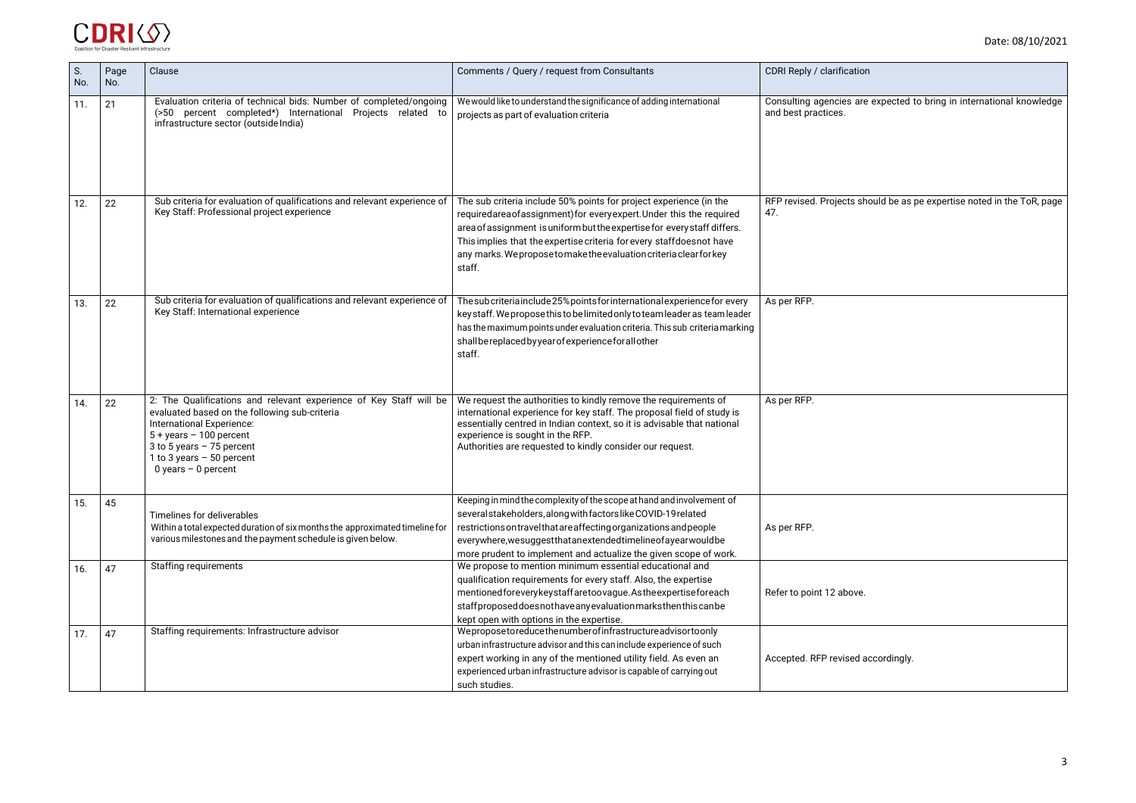| CDRI Reply / clarification                                                                  |
|---------------------------------------------------------------------------------------------|
| Consulting agencies are expected to bring in international knowledge<br>and best practices. |
|                                                                                             |
|                                                                                             |
| RFP revised. Projects should be as pe expertise noted in the ToR, page<br>47.               |
|                                                                                             |
|                                                                                             |
| As per RFP.                                                                                 |
|                                                                                             |
|                                                                                             |
| As per RFP.                                                                                 |
|                                                                                             |
|                                                                                             |
|                                                                                             |
| As per RFP.                                                                                 |
|                                                                                             |
| Refer to point 12 above.                                                                    |
|                                                                                             |
| Accepted. RFP revised accordingly.                                                          |



| S.<br>No. | Page<br>No. | Clause                                                                                                                                                                                                                                                                    | Comments / Query / request from Consultants                                                                                                                                                                                                                                                                                                                                    | CDRI Reply / clarification                              |
|-----------|-------------|---------------------------------------------------------------------------------------------------------------------------------------------------------------------------------------------------------------------------------------------------------------------------|--------------------------------------------------------------------------------------------------------------------------------------------------------------------------------------------------------------------------------------------------------------------------------------------------------------------------------------------------------------------------------|---------------------------------------------------------|
| 11.       | 21          | Evaluation criteria of technical bids: Number of completed/ongoing<br>(>50 percent completed*) International Projects related to<br>infrastructure sector (outside India)                                                                                                 | We would like to understand the significance of adding international<br>projects as part of evaluation criteria                                                                                                                                                                                                                                                                | Consulting agencies are expected<br>and best practices. |
| 12.       | 22          | Sub criteria for evaluation of qualifications and relevant experience of<br>Key Staff: Professional project experience                                                                                                                                                    | The sub criteria include 50% points for project experience (in the<br>requiredareaofassignment) for every expert. Under this the required<br>area of assignment is uniform but the expertise for every staff differs.<br>This implies that the expertise criteria for every staffdoesnot have<br>any marks. We propose to make the evaluation criteria clear for key<br>staff. | RFP revised. Projects should be as<br>47.               |
| 13.       | 22          | Sub criteria for evaluation of qualifications and relevant experience of<br>Key Staff: International experience                                                                                                                                                           | The sub criteria include 25% points for international experience for every<br>key staff. We propose this to be limited only to team leader as team leader<br>has the maximum points under evaluation criteria. This sub criteria marking<br>shall be replaced by year of experience for all other<br>staff.                                                                    | As per RFP.                                             |
| 14.       | 22          | 2: The Qualifications and relevant experience of Key Staff will be<br>evaluated based on the following sub-criteria<br>International Experience:<br>$5 + \text{years} - 100$ percent<br>3 to 5 years $-75$ percent<br>1 to 3 years $-50$ percent<br>0 years $-$ 0 percent | We request the authorities to kindly remove the requirements of<br>international experience for key staff. The proposal field of study is<br>essentially centred in Indian context, so it is advisable that national<br>experience is sought in the RFP.<br>Authorities are requested to kindly consider our request.                                                          | As per RFP.                                             |
| 15.       | 45          | Timelines for deliverables<br>Within a total expected duration of six months the approximated timeline for<br>various milestones and the payment schedule is given below.                                                                                                 | Keeping in mind the complexity of the scope at hand and involvement of<br>several stakeholders, along with factors like COVID-19 related<br>restrictions on travel that are affecting organizations and people<br>everywhere, we suggest that an extended timeline of a year would be<br>more prudent to implement and actualize the given scope of work.                      | As per RFP.                                             |
| 16.       | 47          | <b>Staffing requirements</b>                                                                                                                                                                                                                                              | We propose to mention minimum essential educational and<br>qualification requirements for every staff. Also, the expertise<br>mentioned for every key staff are too vague. As the expertise for each<br>staffproposed does not have any evaluation marks then this can be<br>kept open with options in the expertise.                                                          | Refer to point 12 above.                                |
| 17.       | 47          | Staffing requirements: Infrastructure advisor                                                                                                                                                                                                                             | Weproposetoreducethenumberofinfrastructureadvisortoonly<br>urban infrastructure advisor and this can include experience of such<br>expert working in any of the mentioned utility field. As even an<br>experienced urban infrastructure advisor is capable of carrying out<br>such studies.                                                                                    | Accepted. RFP revised accordingly.                      |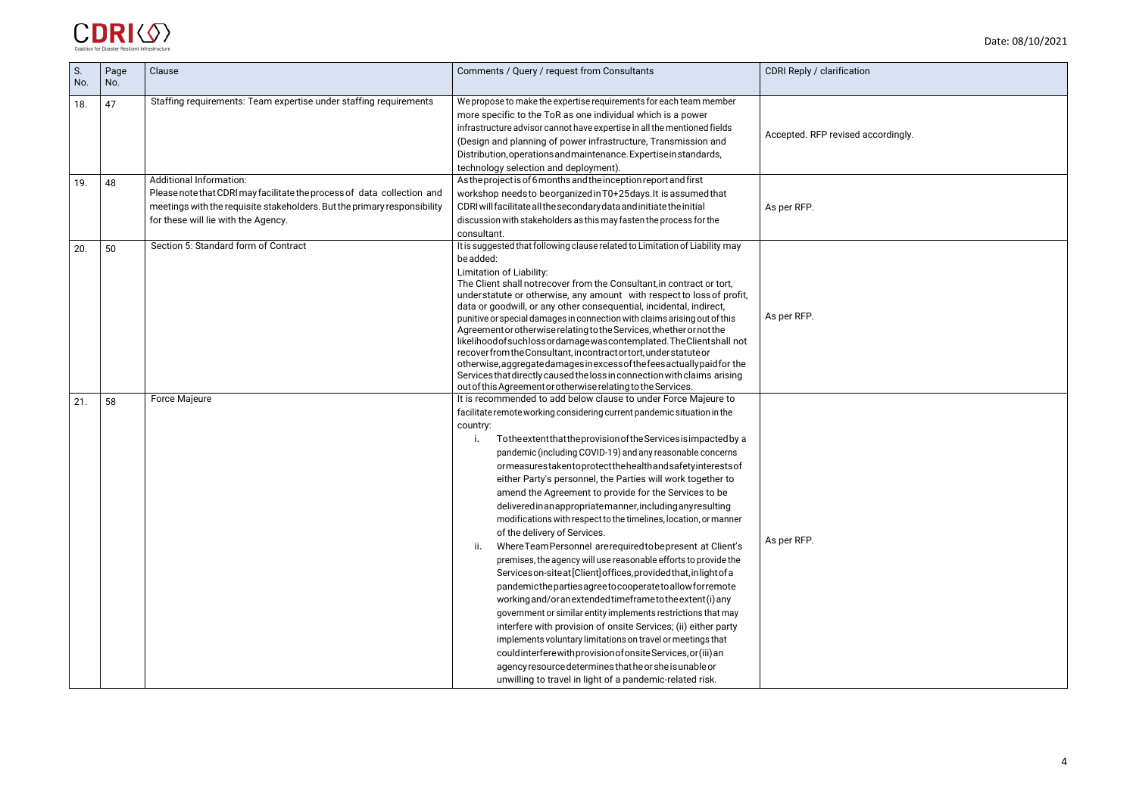| ion            |  |
|----------------|--|
| d accordingly. |  |
|                |  |
|                |  |
|                |  |
|                |  |
|                |  |
|                |  |
|                |  |
|                |  |



| S.<br>No. | Page<br>No. | Clause                                                                                                                                                                                                                       | Comments / Query / request from Consultants                                                                                                                                                                                                                                                                                                                                                                                                                                                                                                                                                                                                                                                                                                                                                                                                                                                                                                                                                                                                                                                                                                                                                                                                                                                                                                                               | CDRI Reply / clarification         |
|-----------|-------------|------------------------------------------------------------------------------------------------------------------------------------------------------------------------------------------------------------------------------|---------------------------------------------------------------------------------------------------------------------------------------------------------------------------------------------------------------------------------------------------------------------------------------------------------------------------------------------------------------------------------------------------------------------------------------------------------------------------------------------------------------------------------------------------------------------------------------------------------------------------------------------------------------------------------------------------------------------------------------------------------------------------------------------------------------------------------------------------------------------------------------------------------------------------------------------------------------------------------------------------------------------------------------------------------------------------------------------------------------------------------------------------------------------------------------------------------------------------------------------------------------------------------------------------------------------------------------------------------------------------|------------------------------------|
| 18.       | 47          | Staffing requirements: Team expertise under staffing requirements                                                                                                                                                            | We propose to make the expertise requirements for each team member<br>more specific to the ToR as one individual which is a power<br>infrastructure advisor cannot have expertise in all the mentioned fields<br>(Design and planning of power infrastructure, Transmission and<br>Distribution, operations and maintenance. Expertise in standards,<br>technology selection and deployment).                                                                                                                                                                                                                                                                                                                                                                                                                                                                                                                                                                                                                                                                                                                                                                                                                                                                                                                                                                             | Accepted. RFP revised accordingly. |
| 19.       | 48          | <b>Additional Information:</b><br>Please note that CDRI may facilitate the process of data collection and<br>meetings with the requisite stakeholders. But the primary responsibility<br>for these will lie with the Agency. | As the project is of 6 months and the inception report and first<br>workshop needs to be organized in T0+25 days. It is assumed that<br>CDRI will facilitate all the secondary data and initiate the initial<br>discussion with stakeholders as this may fasten the process for the<br>consultant.                                                                                                                                                                                                                                                                                                                                                                                                                                                                                                                                                                                                                                                                                                                                                                                                                                                                                                                                                                                                                                                                        | As per RFP.                        |
| 20.       | 50          | Section 5: Standard form of Contract                                                                                                                                                                                         | It is suggested that following clause related to Limitation of Liability may<br>be added:<br>Limitation of Liability:<br>The Client shall notrecover from the Consultant, in contract or tort,<br>understatute or otherwise, any amount with respect to loss of profit,<br>data or goodwill, or any other consequential, incidental, indirect,<br>punitive or special damages in connection with claims arising out of this<br>Agreement or otherwise relating to the Services, whether or not the<br>likelihoodofsuchlossordamagewascontemplated. The Clientshall not<br>recover from the Consultant, in contract or tort, under statute or<br>otherwise, aggregated amages in excess of the feesactually paid for the<br>Services that directly caused the loss in connection with claims arising<br>out of this Agreement or otherwise relating to the Services.                                                                                                                                                                                                                                                                                                                                                                                                                                                                                                       | As per RFP.                        |
| 21.       | 58          | Force Majeure                                                                                                                                                                                                                | It is recommended to add below clause to under Force Majeure to<br>facilitate remote working considering current pandemic situation in the<br>country:<br>To the extent that the provision of the Services is impacted by a<br>j.<br>pandemic (including COVID-19) and any reasonable concerns<br>ormeasurestakentoprotectthehealthandsafetyinterestsof<br>either Party's personnel, the Parties will work together to<br>amend the Agreement to provide for the Services to be<br>deliveredinanappropriatemanner, including any resulting<br>modifications with respect to the timelines, location, or manner<br>of the delivery of Services.<br>Where Team Personnel are required to be present at Client's<br>ii.<br>premises, the agency will use reasonable efforts to provide the<br>Services on-site at [Client] offices, provided that, in light of a<br>pandemicthepartiesagreetocooperatetoallowforremote<br>working and/or an extended timeframe to the extent (i) any<br>government or similar entity implements restrictions that may<br>interfere with provision of onsite Services; (ii) either party<br>implements voluntary limitations on travel or meetings that<br>couldinterferewith provision of onsite Services, or (iii) an<br>agency resource determines that he or she is unable or<br>unwilling to travel in light of a pandemic-related risk. | As per RFP.                        |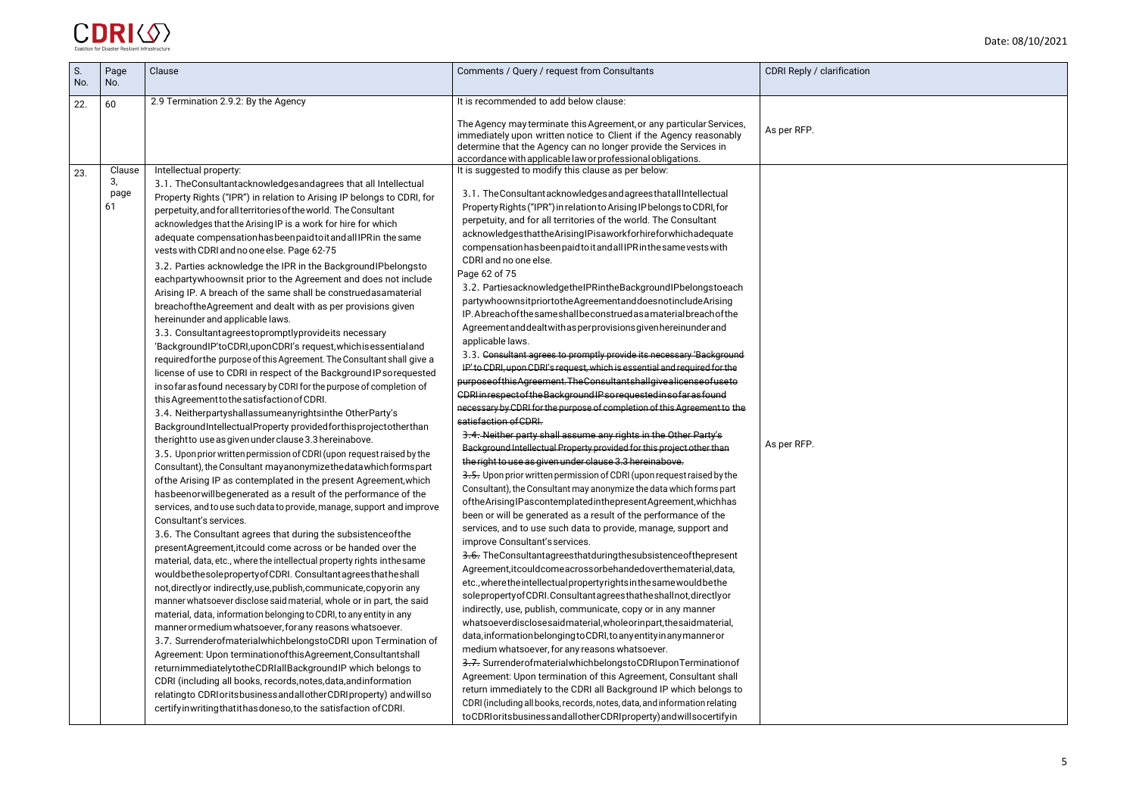

| S.<br>No. | Page<br>No.                | Clause                                                                                                                                                                                                                                                                                                                                                                                                                                                                                                                                                                                                                                                                                                                                                                                                                                                                                                                                                                                                                                                                                                                                                                                                                                                                                                                                                                                                                                                                                                                                                                                                                                                                                                                                                                                                                                                                                                                                                                                                                                                                                                                                                                                                                                                                                                                                                                                                                                                                                                                                                                                                                                                                                                                   | Comments / Query / request from Consultants                                                                                                                                                                                                                                                                                                                                                                                                                                                                                                                                                                                                                                                                                                                                                                                                                                                                                                                                                                                                                                                                                                                                                                                                                                                                                                                                                                                                                                                                                                                                                                                                                                                                                                                                                                                                                                                                                                                                                                                                                                                                                                                                                                                                                                                                                                                                                                                                                                                                                                                                                                                                                                              | CDRI Reply / clarification |
|-----------|----------------------------|--------------------------------------------------------------------------------------------------------------------------------------------------------------------------------------------------------------------------------------------------------------------------------------------------------------------------------------------------------------------------------------------------------------------------------------------------------------------------------------------------------------------------------------------------------------------------------------------------------------------------------------------------------------------------------------------------------------------------------------------------------------------------------------------------------------------------------------------------------------------------------------------------------------------------------------------------------------------------------------------------------------------------------------------------------------------------------------------------------------------------------------------------------------------------------------------------------------------------------------------------------------------------------------------------------------------------------------------------------------------------------------------------------------------------------------------------------------------------------------------------------------------------------------------------------------------------------------------------------------------------------------------------------------------------------------------------------------------------------------------------------------------------------------------------------------------------------------------------------------------------------------------------------------------------------------------------------------------------------------------------------------------------------------------------------------------------------------------------------------------------------------------------------------------------------------------------------------------------------------------------------------------------------------------------------------------------------------------------------------------------------------------------------------------------------------------------------------------------------------------------------------------------------------------------------------------------------------------------------------------------------------------------------------------------------------------------------------------------|------------------------------------------------------------------------------------------------------------------------------------------------------------------------------------------------------------------------------------------------------------------------------------------------------------------------------------------------------------------------------------------------------------------------------------------------------------------------------------------------------------------------------------------------------------------------------------------------------------------------------------------------------------------------------------------------------------------------------------------------------------------------------------------------------------------------------------------------------------------------------------------------------------------------------------------------------------------------------------------------------------------------------------------------------------------------------------------------------------------------------------------------------------------------------------------------------------------------------------------------------------------------------------------------------------------------------------------------------------------------------------------------------------------------------------------------------------------------------------------------------------------------------------------------------------------------------------------------------------------------------------------------------------------------------------------------------------------------------------------------------------------------------------------------------------------------------------------------------------------------------------------------------------------------------------------------------------------------------------------------------------------------------------------------------------------------------------------------------------------------------------------------------------------------------------------------------------------------------------------------------------------------------------------------------------------------------------------------------------------------------------------------------------------------------------------------------------------------------------------------------------------------------------------------------------------------------------------------------------------------------------------------------------------------------------------|----------------------------|
| 22.       | 60                         | 2.9 Termination 2.9.2: By the Agency                                                                                                                                                                                                                                                                                                                                                                                                                                                                                                                                                                                                                                                                                                                                                                                                                                                                                                                                                                                                                                                                                                                                                                                                                                                                                                                                                                                                                                                                                                                                                                                                                                                                                                                                                                                                                                                                                                                                                                                                                                                                                                                                                                                                                                                                                                                                                                                                                                                                                                                                                                                                                                                                                     | It is recommended to add below clause:<br>The Agency may terminate this Agreement, or any particular Services,<br>immediately upon written notice to Client if the Agency reasonably<br>determine that the Agency can no longer provide the Services in<br>accordance with applicable law or professional obligations.                                                                                                                                                                                                                                                                                                                                                                                                                                                                                                                                                                                                                                                                                                                                                                                                                                                                                                                                                                                                                                                                                                                                                                                                                                                                                                                                                                                                                                                                                                                                                                                                                                                                                                                                                                                                                                                                                                                                                                                                                                                                                                                                                                                                                                                                                                                                                                   | As per RFP.                |
| 23.       | Clause<br>3,<br>page<br>61 | Intellectual property:<br>3.1. The Consultantacknowledges and agrees that all Intellectual<br>Property Rights ("IPR") in relation to Arising IP belongs to CDRI, for<br>perpetuity, and for all territories of the world. The Consultant<br>acknowledges that the Arising IP is a work for hire for which<br>adequate compensation has been paid to it and all IPR in the same<br>vests with CDRI and no one else. Page 62-75<br>3.2. Parties acknowledge the IPR in the BackgroundIPbelongsto<br>eachpartywhoownsit prior to the Agreement and does not include<br>Arising IP. A breach of the same shall be construedasamaterial<br>breachoftheAgreement and dealt with as per provisions given<br>hereinunder and applicable laws.<br>3.3. Consultantagreestopromptlyprovideits necessary<br>'BackgroundIP'toCDRI, uponCDRI's request, which is essential and<br>required for the purpose of this Agreement. The Consultant shall give a<br>license of use to CDRI in respect of the Background IP sorequested<br>in so far as found necessary by CDRI for the purpose of completion of<br>this Agreement to the satisfaction of CDRI.<br>3.4. Neitherpartyshallassumeanyrightsinthe OtherParty's<br>BackgroundIntellectualProperty providedforthisprojectotherthan<br>theright to use as given under clause 3.3 hereinabove.<br>3.5. Upon prior written permission of CDRI (upon request raised by the<br>Consultant), the Consultant may anonymize the data which forms part<br>of the Arising IP as contemplated in the present Agreement, which<br>has been or will be generated as a result of the performance of the<br>services, and to use such data to provide, manage, support and improve<br>Consultant's services.<br>3.6. The Consultant agrees that during the subsistence of the<br>presentAgreement, it could come across or be handed over the<br>material, data, etc., where the intellectual property rights inthesame<br>wouldbethesoleproperty of CDRI. Consultant agrees that he shall<br>not, directly or indirectly, use, publish, communicate, copy or in any<br>manner whatsoever disclose said material, whole or in part, the said<br>material, data, information belonging to CDRI, to any entity in any<br>manner or medium whatsoever, for any reasons whatsoever.<br>3.7. SurrenderofmaterialwhichbelongstoCDRI upon Termination of<br>Agreement: Upon terminationofthisAgreement,Consultantshall<br>returnimmediatelytotheCDRIallBackgroundIP which belongs to<br>CDRI (including all books, records, notes, data, and information<br>relatingto CDRI or its business and all other CDRI property) and will so<br>certifyin writing that it has doneso, to the satisfaction of CDRI. | It is suggested to modify this clause as per below:<br>3.1. The Consultant acknowledges and agrees that all Intellectual<br>Property Rights ("IPR") in relation to Arising IP belongs to CDRI, for<br>perpetuity, and for all territories of the world. The Consultant<br>acknowledgesthattheArisingIPisaworkforhireforwhichadequate<br>compensation has been paid to it and all IPR in the same vests with<br>CDRI and no one else.<br>Page 62 of 75<br>3.2. PartiesacknowledgetheIPRintheBackgroundIPbelongstoeach<br>partywhoownsitpriortotheAgreementanddoesnotincludeArising<br>IP. Abreach of the same shall be construed as a material breach of the<br>Agreement and dealt with as perprovisions given hereinunder and<br>applicable laws.<br>3.3. Consultant agrees to promptly provide its necessary 'Background<br>IP' to CDRI, upon CDRI's request, which is essential and required for the<br>purposeofthisAgreement.TheConsultantshallgivealicenseofuseto<br>CDRI in respect of the Background IP so requested in so far as found<br>necessary by CDRI for the purpose of completion of this Agreement to the<br>satisfaction of CDRI.<br>3.4. Neither party shall assume any rights in the Other Party's<br>Background Intellectual Property provided for this project other than<br>the right to use as given under clause 3.3 hereinabove.<br>3.5. Upon prior written permission of CDRI (upon request raised by the<br>Consultant), the Consultant may anonymize the data which forms part<br>ofthe Arising IP as contemplated in the present Agreement, which has<br>been or will be generated as a result of the performance of the<br>services, and to use such data to provide, manage, support and<br>improve Consultant's services.<br>3.6. The Consultantagreesthat during the subsistence of the present<br>Agreement, it could come across or behanded over the material, data,<br>etc., where the intellectual property rights in the same would be the<br>soleproperty of CDRI. Consultant agrees that he shall not, directly or<br>indirectly, use, publish, communicate, copy or in any manner<br>whatsoeverdisclosesaidmaterial, wholeorinpart, the saidmaterial,<br>data, information belonging to CDRI, to any entity in any manner or<br>medium whatsoever, for any reasons whatsoever.<br>3.7. Surrender of material which belongs to CDRI upon Termination of<br>Agreement: Upon termination of this Agreement, Consultant shall<br>return immediately to the CDRI all Background IP which belongs to<br>CDRI (including all books, records, notes, data, and information relating<br>toCDRIoritsbusinessandallotherCDRIproperty)andwillsocertifyin | As per RFP.                |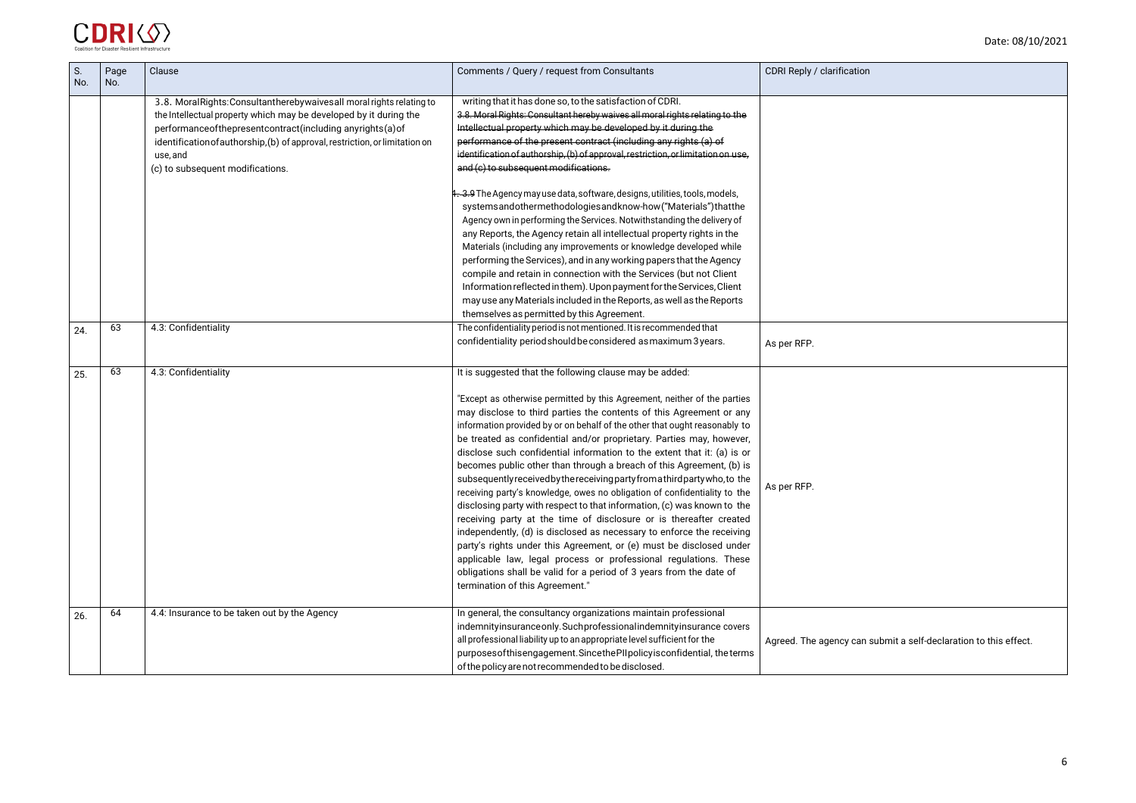# can submit a self-declaration to this effect.



| S.<br>No. | Page<br>No. | Clause                                                                                                                                                                                                                                                                                                                                    | Comments / Query / request from Consultants                                                                                                                                                                                                                                                                                                                                                                                                                                                                                                                                                                                                                                                                                                                                                                                                                                                                                                                                                                                                                                                                                                                    | CDRI Reply / clarification |
|-----------|-------------|-------------------------------------------------------------------------------------------------------------------------------------------------------------------------------------------------------------------------------------------------------------------------------------------------------------------------------------------|----------------------------------------------------------------------------------------------------------------------------------------------------------------------------------------------------------------------------------------------------------------------------------------------------------------------------------------------------------------------------------------------------------------------------------------------------------------------------------------------------------------------------------------------------------------------------------------------------------------------------------------------------------------------------------------------------------------------------------------------------------------------------------------------------------------------------------------------------------------------------------------------------------------------------------------------------------------------------------------------------------------------------------------------------------------------------------------------------------------------------------------------------------------|----------------------------|
|           |             | 3.8. Moral Rights: Consultant hereby waives all moral rights relating to<br>the Intellectual property which may be developed by it during the<br>performanceofthepresentcontract(including anyrights(a)of<br>identification of authorship, (b) of approval, restriction, or limitation on<br>use, and<br>(c) to subsequent modifications. | writing that it has done so, to the satisfaction of CDRI.<br>3.8. Moral Rights: Consultant hereby waives all moral rights relating to the<br>Intellectual property which may be developed by it during the<br>performance of the present contract (including any rights (a) of<br>identification of authorship, (b) of approval, restriction, or limitation on use,<br>and (c) to subsequent modifications.                                                                                                                                                                                                                                                                                                                                                                                                                                                                                                                                                                                                                                                                                                                                                    |                            |
|           |             |                                                                                                                                                                                                                                                                                                                                           | 4. 3.9 The Agency may use data, software, designs, utilities, tools, models,<br>systemsandothermethodologiesandknow-how("Materials")thatthe<br>Agency own in performing the Services. Notwithstanding the delivery of<br>any Reports, the Agency retain all intellectual property rights in the<br>Materials (including any improvements or knowledge developed while<br>performing the Services), and in any working papers that the Agency<br>compile and retain in connection with the Services (but not Client<br>Information reflected in them). Upon payment for the Services, Client<br>may use any Materials included in the Reports, as well as the Reports<br>themselves as permitted by this Agreement.                                                                                                                                                                                                                                                                                                                                                                                                                                             |                            |
| 24.       | 63          | 4.3: Confidentiality                                                                                                                                                                                                                                                                                                                      | The confidentiality period is not mentioned. It is recommended that<br>confidentiality period should be considered as maximum 3 years.                                                                                                                                                                                                                                                                                                                                                                                                                                                                                                                                                                                                                                                                                                                                                                                                                                                                                                                                                                                                                         | As per RFP.                |
| 25.       | 63          | 4.3: Confidentiality                                                                                                                                                                                                                                                                                                                      | It is suggested that the following clause may be added:<br>"Except as otherwise permitted by this Agreement, neither of the parties<br>may disclose to third parties the contents of this Agreement or any<br>information provided by or on behalf of the other that ought reasonably to<br>be treated as confidential and/or proprietary. Parties may, however,<br>disclose such confidential information to the extent that it: (a) is or<br>becomes public other than through a breach of this Agreement, (b) is<br>subsequently received by the receiving party from a third party who, to the<br>receiving party's knowledge, owes no obligation of confidentiality to the<br>disclosing party with respect to that information, (c) was known to the<br>receiving party at the time of disclosure or is thereafter created<br>independently, (d) is disclosed as necessary to enforce the receiving<br>party's rights under this Agreement, or (e) must be disclosed under<br>applicable law, legal process or professional regulations. These<br>obligations shall be valid for a period of 3 years from the date of<br>termination of this Agreement." | As per RFP.                |
| 26.       | 64          | 4.4: Insurance to be taken out by the Agency                                                                                                                                                                                                                                                                                              | In general, the consultancy organizations maintain professional<br>indemnityinsurance only. Such professional indemnityinsurance covers<br>all professional liability up to an appropriate level sufficient for the<br>purposes of this engagement. Since the PII policy is confidential, the terms<br>of the policy are not recommended to be disclosed.                                                                                                                                                                                                                                                                                                                                                                                                                                                                                                                                                                                                                                                                                                                                                                                                      | Agreed. The agency can     |